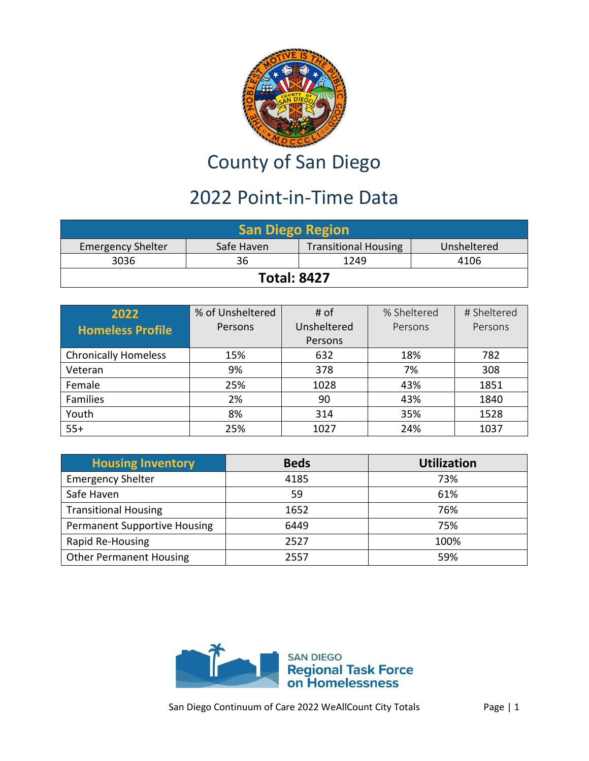

## County of San Diego

## 2022 Point-in-Time Data

| <b>San Diego Region</b>                                                              |      |  |  |  |  |
|--------------------------------------------------------------------------------------|------|--|--|--|--|
| <b>Transitional Housing</b><br>Safe Haven<br><b>Emergency Shelter</b><br>Unsheltered |      |  |  |  |  |
| 3036                                                                                 | 4106 |  |  |  |  |
| <b>Total: 8427</b>                                                                   |      |  |  |  |  |

| 2022                        | % of Unsheltered | # of        | % Sheltered | # Sheltered |
|-----------------------------|------------------|-------------|-------------|-------------|
| <b>Homeless Profile</b>     | Persons          | Unsheltered | Persons     | Persons     |
|                             |                  | Persons     |             |             |
| <b>Chronically Homeless</b> | 15%              | 632         | 18%         | 782         |
| Veteran                     | 9%               | 378         | 7%          | 308         |
| Female                      | 25%              | 1028        | 43%         | 1851        |
| Families                    | 2%               | 90          | 43%         | 1840        |
| Youth                       | 8%               | 314         | 35%         | 1528        |
| $55+$                       | 25%              | 1027        | 24%         | 1037        |

| <b>Housing Inventory</b>            | <b>Beds</b> | <b>Utilization</b> |
|-------------------------------------|-------------|--------------------|
| <b>Emergency Shelter</b>            | 4185        | 73%                |
| Safe Haven                          | 59          | 61%                |
| <b>Transitional Housing</b>         | 1652        | 76%                |
| <b>Permanent Supportive Housing</b> | 6449        | 75%                |
| Rapid Re-Housing                    | 2527        | 100%               |
| <b>Other Permanent Housing</b>      | 2557        | 59%                |

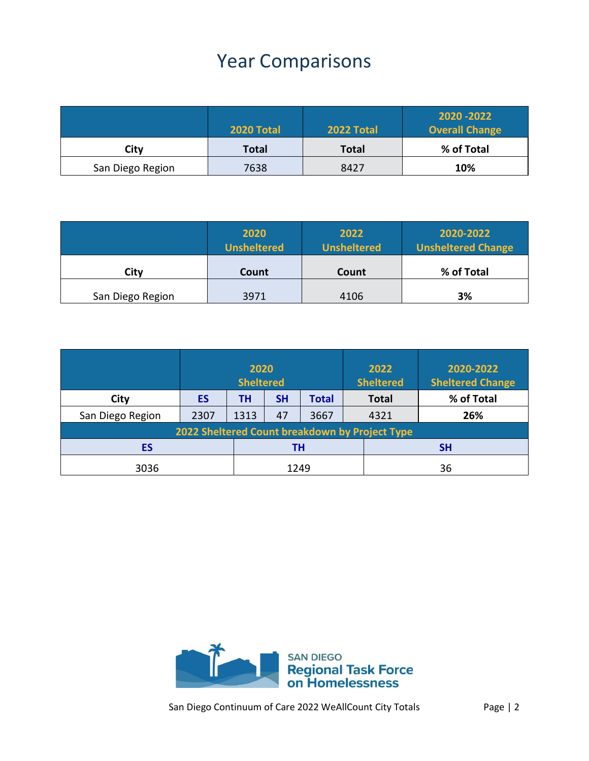## Year Comparisons

|                  | <b>2020 Total</b> | 2022 Total | 2020 - 2022<br><b>Overall Change</b> |
|------------------|-------------------|------------|--------------------------------------|
| City             | Total             | Total      | % of Total                           |
| San Diego Region | 7638              | 8427       | 10%                                  |

|                  | 2020<br><b>Unsheltered</b> | 2022<br><b>Unsheltered</b> | 2020-2022<br><b>Unsheltered Change</b> |
|------------------|----------------------------|----------------------------|----------------------------------------|
| City             | Count                      | Count                      | % of Total                             |
| San Diego Region | 3971                       | 4106                       | 3%                                     |

|                                                | 2020<br><b>Sheltered</b> |      |           |              | 2022<br><b>Sheltered</b> | 2020-2022<br><b>Sheltered Change</b> |
|------------------------------------------------|--------------------------|------|-----------|--------------|--------------------------|--------------------------------------|
| City                                           | ES                       | ΤН   | <b>SH</b> | <b>Total</b> | <b>Total</b>             | % of Total                           |
| San Diego Region                               | 2307                     | 1313 | 47        | 3667         | 4321                     | 26%                                  |
| 2022 Sheltered Count breakdown by Project Type |                          |      |           |              |                          |                                      |
| ES                                             |                          | ΤН   |           | <b>SH</b>    |                          |                                      |
| 3036                                           |                          | 1249 |           |              | 36                       |                                      |

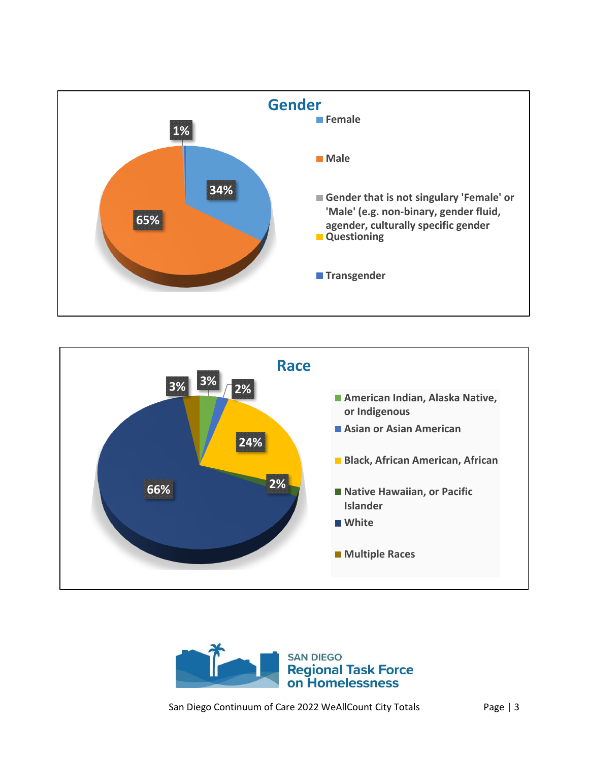





San Diego Continuum of Care 2022 WeAllCount City Totals Page | 3